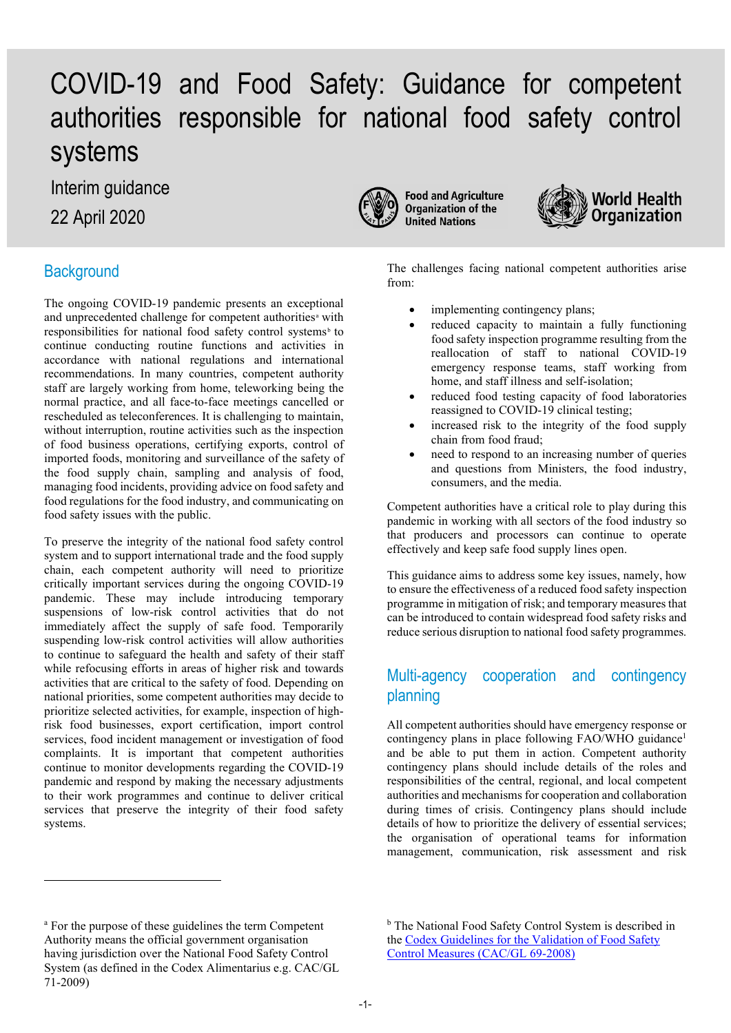# COVID-19 and Food Safety: Guidance for competent authorities responsible for national food safety control systems

Interim guidance

22 April 2020

# **Background**

The ongoing COVID-19 pandemic presents an exceptional [a](#page-0-0)nd unprecedented challenge for competent authorities<sup>a</sup> with responsi[b](#page-0-0)ilities for national food safety control systems<sup>b</sup> to continue conducting routine functions and activities in accordance with national regulations and international recommendations. In many countries, competent authority staff are largely working from home, teleworking being the normal practice, and all face-to-face meetings cancelled or rescheduled as teleconferences. It is challenging to maintain, without interruption, routine activities such as the inspection of food business operations, certifying exports, control of imported foods, monitoring and surveillance of the safety of the food supply chain, sampling and analysis of food, managing food incidents, providing advice on food safety and food regulations for the food industry, and communicating on food safety issues with the public.

To preserve the integrity of the national food safety control system and to support international trade and the food supply chain, each competent authority will need to prioritize critically important services during the ongoing COVID-19 pandemic. These may include introducing temporary suspensions of low-risk control activities that do not immediately affect the supply of safe food. Temporarily suspending low-risk control activities will allow authorities to continue to safeguard the health and safety of their staff while refocusing efforts in areas of higher risk and towards activities that are critical to the safety of food. Depending on national priorities, some competent authorities may decide to prioritize selected activities, for example, inspection of highrisk food businesses, export certification, import control services, food incident management or investigation of food complaints. It is important that competent authorities continue to monitor developments regarding the COVID-19 pandemic and respond by making the necessary adjustments to their work programmes and continue to deliver critical services that preserve the integrity of their food safety systems.



**Food and Agriculture Organization of the United Nations** 



The challenges facing national competent authorities arise from:

- implementing contingency plans;
- reduced capacity to maintain a fully functioning food safety inspection programme resulting from the reallocation of staff to national COVID-19 emergency response teams, staff working from home, and staff illness and self-isolation;
- reduced food testing capacity of food laboratories reassigned to COVID-19 clinical testing;
- increased risk to the integrity of the food supply chain from food fraud;
- need to respond to an increasing number of queries and questions from Ministers, the food industry, consumers, and the media.

Competent authorities have a critical role to play during this pandemic in working with all sectors of the food industry so that producers and processors can continue to operate effectively and keep safe food supply lines open.

This guidance aims to address some key issues, namely, how to ensure the effectiveness of a reduced food safety inspection programme in mitigation of risk; and temporary measures that can be introduced to contain widespread food safety risks and reduce serious disruption to national food safety programmes.

# Multi-agency cooperation and contingency planning

All competent authorities should have emergency response or contingency plans in place following FAO/WHO guidance<sup>1</sup> and be able to put them in action. Competent authority contingency plans should include details of the roles and responsibilities of the central, regional, and local competent authorities and mechanisms for cooperation and collaboration during times of crisis. Contingency plans should include details of how to prioritize the delivery of essential services; the organisation of operational teams for information management, communication, risk assessment and risk

<span id="page-0-0"></span><sup>&</sup>lt;sup>a</sup> For the purpose of these guidelines the term Competent Authority means the official government organisation having jurisdiction over the National Food Safety Control System (as defined in the Codex Alimentarius e.g. CAC/GL 71-2009)

<sup>&</sup>lt;sup>b</sup> The National Food Safety Control System is described in the [Codex Guidelines for the Validation of Food Safety](http://www.fao.org/fao-who-codexalimentarius/sh-proxy/ar/?lnk=1&url=https%253A%252F%252Fworkspace.fao.org%252Fsites%252Fcodex%252FStandards%252FCXG%2B69-2008%252FCXG_069e.pdf)  [Control Measures](http://www.fao.org/fao-who-codexalimentarius/sh-proxy/ar/?lnk=1&url=https%253A%252F%252Fworkspace.fao.org%252Fsites%252Fcodex%252FStandards%252FCXG%2B69-2008%252FCXG_069e.pdf) (CAC/GL 69-2008)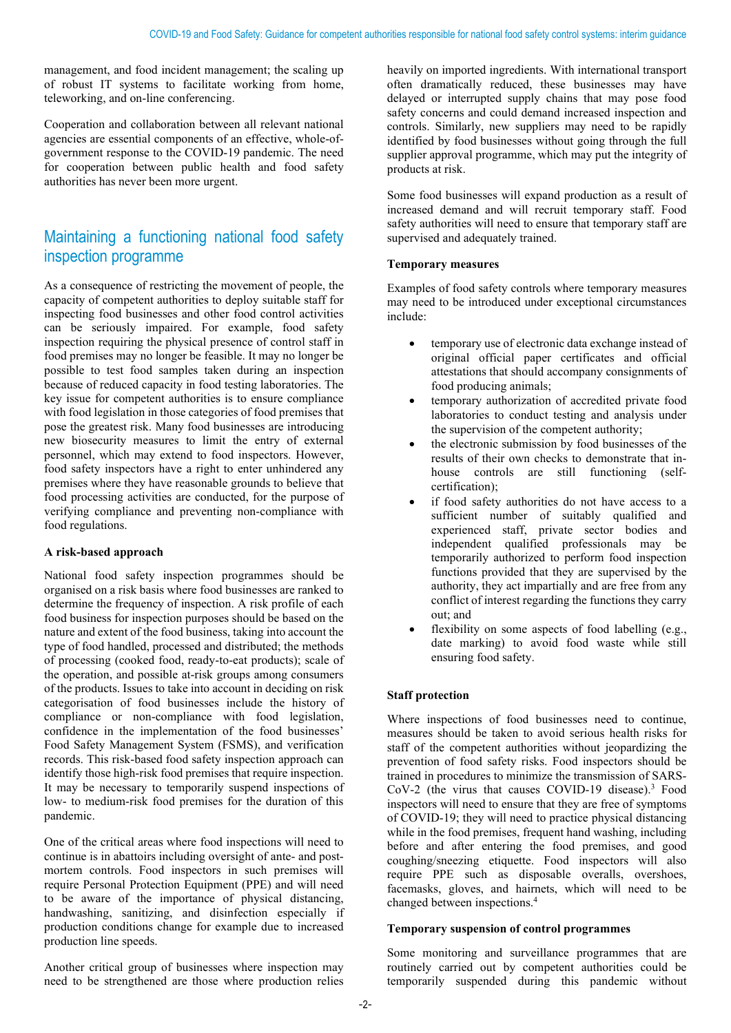management, and food incident management; the scaling up of robust IT systems to facilitate working from home, teleworking, and on-line conferencing.

Cooperation and collaboration between all relevant national agencies are essential components of an effective, whole-ofgovernment response to the COVID-19 pandemic. The need for cooperation between public health and food safety authorities has never been more urgent.

# Maintaining a functioning national food safety inspection programme

As a consequence of restricting the movement of people, the capacity of competent authorities to deploy suitable staff for inspecting food businesses and other food control activities can be seriously impaired. For example, food safety inspection requiring the physical presence of control staff in food premises may no longer be feasible. It may no longer be possible to test food samples taken during an inspection because of reduced capacity in food testing laboratories. The key issue for competent authorities is to ensure compliance with food legislation in those categories of food premises that pose the greatest risk. Many food businesses are introducing new biosecurity measures to limit the entry of external personnel, which may extend to food inspectors. However, food safety inspectors have a right to enter unhindered any premises where they have reasonable grounds to believe that food processing activities are conducted, for the purpose of verifying compliance and preventing non-compliance with food regulations.

#### **A risk-based approach**

National food safety inspection programmes should be organised on a risk basis where food businesses are ranked to determine the frequency of inspection. A risk profile of each food business for inspection purposes should be based on the nature and extent of the food business, taking into account the type of food handled, processed and distributed; the methods of processing (cooked food, ready-to-eat products); scale of the operation, and possible at-risk groups among consumers of the products. Issues to take into account in deciding on risk categorisation of food businesses include the history of compliance or non-compliance with food legislation, confidence in the implementation of the food businesses' Food Safety Management System (FSMS), and verification records. This risk-based food safety inspection approach can identify those high-risk food premises that require inspection. It may be necessary to temporarily suspend inspections of low- to medium-risk food premises for the duration of this pandemic.

One of the critical areas where food inspections will need to continue is in abattoirs including oversight of ante- and postmortem controls. Food inspectors in such premises will require Personal Protection Equipment (PPE) and will need to be aware of the importance of physical distancing, handwashing, sanitizing, and disinfection especially if production conditions change for example due to increased production line speeds.

Another critical group of businesses where inspection may need to be strengthened are those where production relies

heavily on imported ingredients. With international transport often dramatically reduced, these businesses may have delayed or interrupted supply chains that may pose food safety concerns and could demand increased inspection and controls. Similarly, new suppliers may need to be rapidly identified by food businesses without going through the full supplier approval programme, which may put the integrity of products at risk.

Some food businesses will expand production as a result of increased demand and will recruit temporary staff. Food safety authorities will need to ensure that temporary staff are supervised and adequately trained.

#### **Temporary measures**

Examples of food safety controls where temporary measures may need to be introduced under exceptional circumstances include:

- temporary use of electronic data exchange instead of original official paper certificates and official attestations that should accompany consignments of food producing animals;
- temporary authorization of accredited private food laboratories to conduct testing and analysis under the supervision of the competent authority;
- the electronic submission by food businesses of the results of their own checks to demonstrate that inhouse controls are still functioning (selfcertification);
- if food safety authorities do not have access to a sufficient number of suitably qualified and experienced staff, private sector bodies and independent qualified professionals may be temporarily authorized to perform food inspection functions provided that they are supervised by the authority, they act impartially and are free from any conflict of interest regarding the functions they carry out; and
- flexibility on some aspects of food labelling (e.g., date marking) to avoid food waste while still ensuring food safety.

#### **Staff protection**

Where inspections of food businesses need to continue, measures should be taken to avoid serious health risks for staff of the competent authorities without jeopardizing the prevention of food safety risks. Food inspectors should be trained in procedures to minimize the transmission of SARS-CoV-2 (the virus that causes COVID-19 disease).<sup>3</sup> Food inspectors will need to ensure that they are free of symptoms of COVID-19; they will need to practice physical distancing while in the food premises, frequent hand washing, including before and after entering the food premises, and good coughing/sneezing etiquette. Food inspectors will also require PPE such as disposable overalls, overshoes, facemasks, gloves, and hairnets, which will need to be changed between inspections.4

#### **Temporary suspension of control programmes**

Some monitoring and surveillance programmes that are routinely carried out by competent authorities could be temporarily suspended during this pandemic without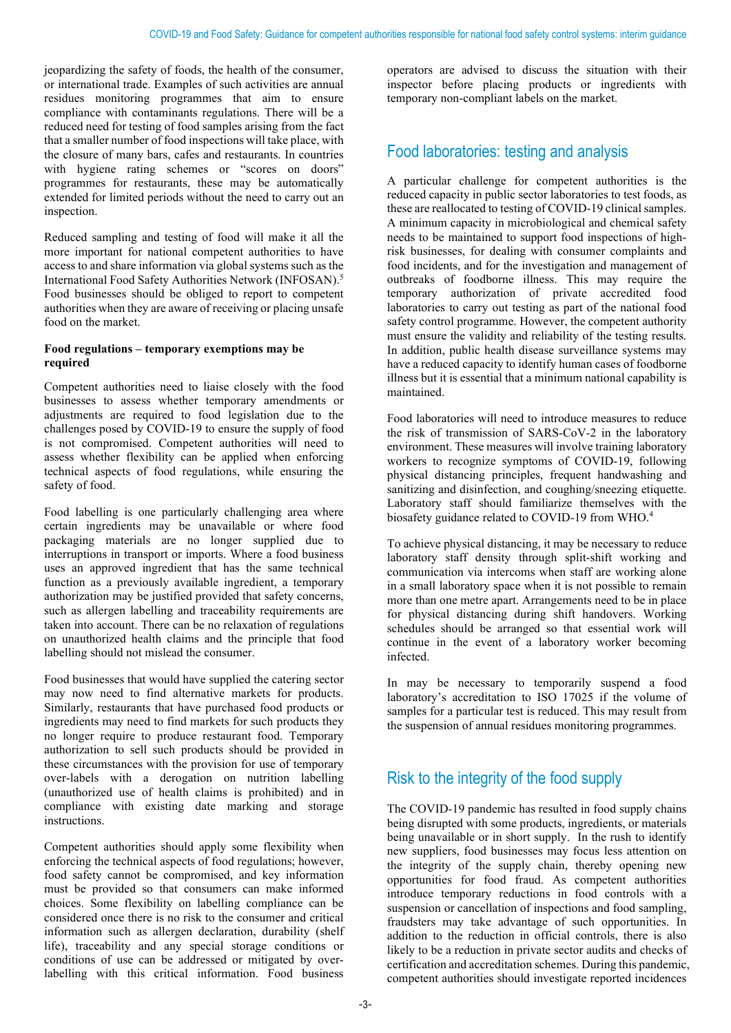jeopardizing the safety of foods, the health of the consumer, or international trade. Examples of such activities are annual residues monitoring programmes that aim to ensure compliance with contaminants regulations. There will be a reduced need for testing of food samples arising from the fact that a smaller number of food inspections will take place, with the closure of many bars, cafes and restaurants. In countries with hygiene rating schemes or "scores on doors" programmes for restaurants, these may be automatically extended for limited periods without the need to carry out an inspection.

Reduced sampling and testing of food will make it all the more important for national competent authorities to have access to and share information via global systems such as the International Food Safety Authorities Network (INFOSAN). 5 Food businesses should be obliged to report to competent authorities when they are aware of receiving or placing unsafe food on the market.

#### **Food regulations – temporary exemptions may be required**

Competent authorities need to liaise closely with the food businesses to assess whether temporary amendments or adjustments are required to food legislation due to the challenges posed by COVID-19 to ensure the supply of food is not compromised. Competent authorities will need to assess whether flexibility can be applied when enforcing technical aspects of food regulations, while ensuring the safety of food.

Food labelling is one particularly challenging area where certain ingredients may be unavailable or where food packaging materials are no longer supplied due to interruptions in transport or imports. Where a food business uses an approved ingredient that has the same technical function as a previously available ingredient, a temporary authorization may be justified provided that safety concerns, such as allergen labelling and traceability requirements are taken into account. There can be no relaxation of regulations on unauthorized health claims and the principle that food labelling should not mislead the consumer.

Food businesses that would have supplied the catering sector may now need to find alternative markets for products. Similarly, restaurants that have purchased food products or ingredients may need to find markets for such products they no longer require to produce restaurant food. Temporary authorization to sell such products should be provided in these circumstances with the provision for use of temporary over-labels with a derogation on nutrition labelling (unauthorized use of health claims is prohibited) and in compliance with existing date marking and storage instructions.

Competent authorities should apply some flexibility when enforcing the technical aspects of food regulations; however, food safety cannot be compromised, and key information must be provided so that consumers can make informed choices. Some flexibility on labelling compliance can be considered once there is no risk to the consumer and critical information such as allergen declaration, durability (shelf life), traceability and any special storage conditions or conditions of use can be addressed or mitigated by overlabelling with this critical information. Food business operators are advised to discuss the situation with their inspector before placing products or ingredients with temporary non-compliant labels on the market.

### Food laboratories: testing and analysis

A particular challenge for competent authorities is the reduced capacity in public sector laboratories to test foods, as these are reallocated to testing of COVID-19 clinical samples. A minimum capacity in microbiological and chemical safety needs to be maintained to support food inspections of highrisk businesses, for dealing with consumer complaints and food incidents, and for the investigation and management of outbreaks of foodborne illness. This may require the temporary authorization of private accredited food laboratories to carry out testing as part of the national food safety control programme. However, the competent authority must ensure the validity and reliability of the testing results. In addition, public health disease surveillance systems may have a reduced capacity to identify human cases of foodborne illness but it is essential that a minimum national capability is maintained.

Food laboratories will need to introduce measures to reduce the risk of transmission of SARS-CoV-2 in the laboratory environment. These measures will involve training laboratory workers to recognize symptoms of COVID-19, following physical distancing principles, frequent handwashing and sanitizing and disinfection, and coughing/sneezing etiquette. Laboratory staff should familiarize themselves with the biosafety guidance related to COVID-19 from WHO.<sup>4</sup>

To achieve physical distancing, it may be necessary to reduce laboratory staff density through split-shift working and communication via intercoms when staff are working alone in a small laboratory space when it is not possible to remain more than one metre apart. Arrangements need to be in place for physical distancing during shift handovers. Working schedules should be arranged so that essential work will continue in the event of a laboratory worker becoming infected.

In may be necessary to temporarily suspend a food laboratory's accreditation to ISO 17025 if the volume of samples for a particular test is reduced. This may result from the suspension of annual residues monitoring programmes.

### Risk to the integrity of the food supply

The COVID-19 pandemic has resulted in food supply chains being disrupted with some products, ingredients, or materials being unavailable or in short supply. In the rush to identify new suppliers, food businesses may focus less attention on the integrity of the supply chain, thereby opening new opportunities for food fraud. As competent authorities introduce temporary reductions in food controls with a suspension or cancellation of inspections and food sampling, fraudsters may take advantage of such opportunities. In addition to the reduction in official controls, there is also likely to be a reduction in private sector audits and checks of certification and accreditation schemes. During this pandemic, competent authorities should investigate reported incidences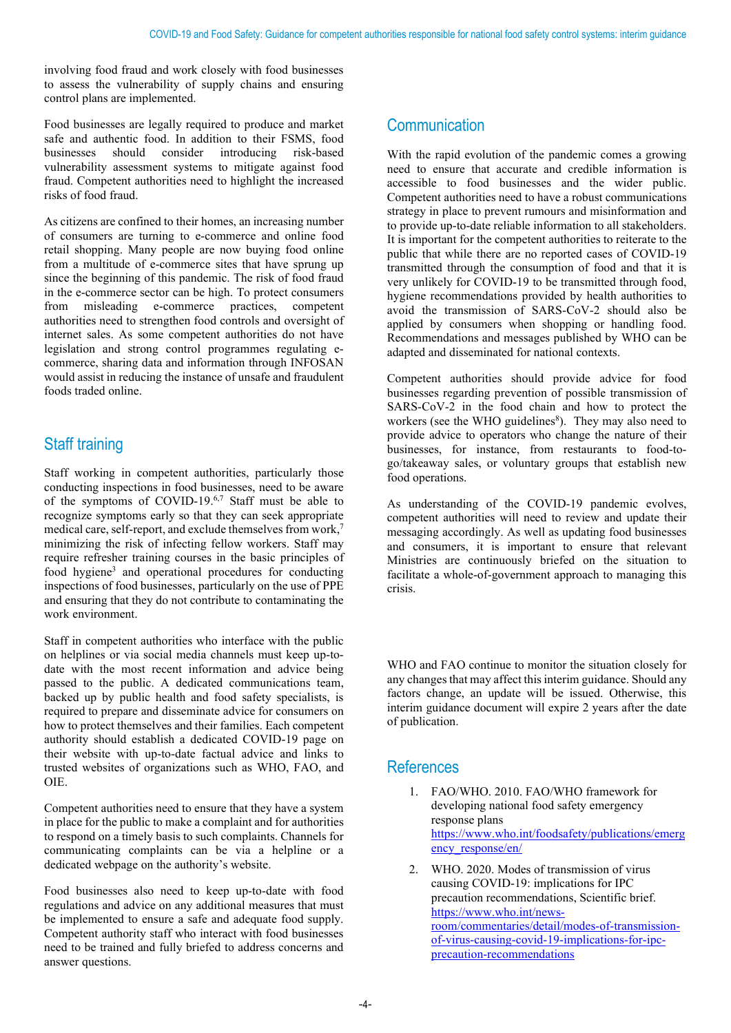involving food fraud and work closely with food businesses to assess the vulnerability of supply chains and ensuring control plans are implemented.

Food businesses are legally required to produce and market safe and authentic food. In addition to their FSMS, food businesses should consider introducing risk-based consider introducing risk-based vulnerability assessment systems to mitigate against food fraud. Competent authorities need to highlight the increased risks of food fraud.

As citizens are confined to their homes, an increasing number of consumers are turning to e-commerce and online food retail shopping. Many people are now buying food online from a multitude of e-commerce sites that have sprung up since the beginning of this pandemic. The risk of food fraud in the e-commerce sector can be high. To protect consumers from misleading e-commerce practices, competent authorities need to strengthen food controls and oversight of internet sales. As some competent authorities do not have legislation and strong control programmes regulating ecommerce, sharing data and information through INFOSAN would assist in reducing the instance of unsafe and fraudulent foods traded online.

# Staff training

Staff working in competent authorities, particularly those conducting inspections in food businesses, need to be aware of the symptoms of COVID-19.<sup>6,7</sup> Staff must be able to recognize symptoms early so that they can seek appropriate medical care, self-report, and exclude themselves from work, 7 minimizing the risk of infecting fellow workers. Staff may require refresher training courses in the basic principles of food hygiene3 and operational procedures for conducting inspections of food businesses, particularly on the use of PPE and ensuring that they do not contribute to contaminating the work environment.

Staff in competent authorities who interface with the public on helplines or via social media channels must keep up-todate with the most recent information and advice being passed to the public. A dedicated communications team, backed up by public health and food safety specialists, is required to prepare and disseminate advice for consumers on how to protect themselves and their families. Each competent authority should establish a dedicated COVID-19 page on their website with up-to-date factual advice and links to trusted websites of organizations such as WHO, FAO, and OIE.

Competent authorities need to ensure that they have a system in place for the public to make a complaint and for authorities to respond on a timely basis to such complaints. Channels for communicating complaints can be via a helpline or a dedicated webpage on the authority's website.

Food businesses also need to keep up-to-date with food regulations and advice on any additional measures that must be implemented to ensure a safe and adequate food supply. Competent authority staff who interact with food businesses need to be trained and fully briefed to address concerns and answer questions.

### **Communication**

With the rapid evolution of the pandemic comes a growing need to ensure that accurate and credible information is accessible to food businesses and the wider public. Competent authorities need to have a robust communications strategy in place to prevent rumours and misinformation and to provide up-to-date reliable information to all stakeholders. It is important for the competent authorities to reiterate to the public that while there are no reported cases of COVID-19 transmitted through the consumption of food and that it is very unlikely for COVID-19 to be transmitted through food, hygiene recommendations provided by health authorities to avoid the transmission of SARS-CoV-2 should also be applied by consumers when shopping or handling food. Recommendations and messages published by WHO can be adapted and disseminated for national contexts.

Competent authorities should provide advice for food businesses regarding prevention of possible transmission of SARS-CoV-2 in the food chain and how to protect the workers (see the WHO guidelines<sup>8</sup>). They may also need to provide advice to operators who change the nature of their businesses, for instance, from restaurants to food-togo/takeaway sales, or voluntary groups that establish new food operations.

As understanding of the COVID-19 pandemic evolves, competent authorities will need to review and update their messaging accordingly. As well as updating food businesses and consumers, it is important to ensure that relevant Ministries are continuously briefed on the situation to facilitate a whole-of-government approach to managing this crisis.

WHO and FAO continue to monitor the situation closely for any changes that may affect this interim guidance. Should any factors change, an update will be issued. Otherwise, this interim guidance document will expire 2 years after the date of publication.

### **References**

- 1. FAO/WHO. 2010. FAO/WHO framework for developing national food safety emergency response plans [https://www.who.int/foodsafety/publications/emerg](https://www.who.int/foodsafety/publications/emergency_response/en/) ency response/en/
- 2. WHO. 2020. Modes of transmission of virus causing COVID-19: implications for IPC precaution recommendations, Scientific brief. [https://www.who.int/news](https://www.who.int/news-room/commentaries/detail/modes-of-transmission-of-virus-causing-covid-19-implications-for-ipc-precaution-recommendations)[room/commentaries/detail/modes-of-transmission](https://www.who.int/news-room/commentaries/detail/modes-of-transmission-of-virus-causing-covid-19-implications-for-ipc-precaution-recommendations)[of-virus-causing-covid-19-implications-for-ipc](https://www.who.int/news-room/commentaries/detail/modes-of-transmission-of-virus-causing-covid-19-implications-for-ipc-precaution-recommendations)[precaution-recommendations](https://www.who.int/news-room/commentaries/detail/modes-of-transmission-of-virus-causing-covid-19-implications-for-ipc-precaution-recommendations)